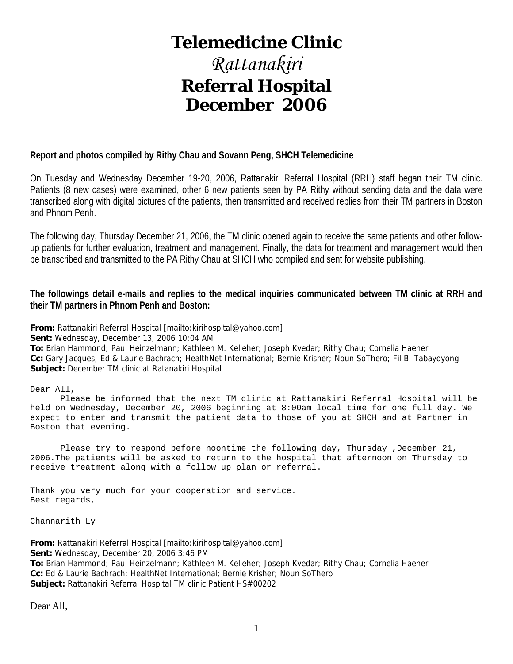# **Telemedicine Clinic**

# *Rattanakiri*  **Referral Hospital December 2006**

#### **Report and photos compiled by Rithy Chau and Sovann Peng, SHCH Telemedicine**

On Tuesday and Wednesday December 19-20, 2006, Rattanakiri Referral Hospital (RRH) staff began their TM clinic. Patients (8 new cases) were examined, other 6 new patients seen by PA Rithy without sending data and the data were transcribed along with digital pictures of the patients, then transmitted and received replies from their TM partners in Boston and Phnom Penh.

The following day, Thursday December 21, 2006, the TM clinic opened again to receive the same patients and other followup patients for further evaluation, treatment and management. Finally, the data for treatment and management would then be transcribed and transmitted to the PA Rithy Chau at SHCH who compiled and sent for website publishing.

#### **The followings detail e-mails and replies to the medical inquiries communicated between TM clinic at RRH and their TM partners in Phnom Penh and Boston:**

**From:** Rattanakiri Referral Hospital [mailto:kirihospital@yahoo.com] **Sent:** Wednesday, December 13, 2006 10:04 AM **To:** Brian Hammond; Paul Heinzelmann; Kathleen M. Kelleher; Joseph Kvedar; Rithy Chau; Cornelia Haener **Cc:** Gary Jacques; Ed & Laurie Bachrach; HealthNet International; Bernie Krisher; Noun SoThero; Fil B. Tabayoyong **Subject:** December TM clinic at Ratanakiri Hospital

Dear All,

 Please be informed that the next TM clinic at Rattanakiri Referral Hospital will be held on Wednesday, December 20, 2006 beginning at 8:00am local time for one full day. We expect to enter and transmit the patient data to those of you at SHCH and at Partner in Boston that evening.

Please try to respond before noontime the following day, Thursday ,December 21, 2006.The patients will be asked to return to the hospital that afternoon on Thursday to receive treatment along with a follow up plan or referral.

Thank you very much for your cooperation and service. Best regards,

Channarith Ly

**From:** Rattanakiri Referral Hospital [mailto:kirihospital@yahoo.com] **Sent:** Wednesday, December 20, 2006 3:46 PM **To:** Brian Hammond; Paul Heinzelmann; Kathleen M. Kelleher; Joseph Kvedar; Rithy Chau; Cornelia Haener **Cc:** Ed & Laurie Bachrach; HealthNet International; Bernie Krisher; Noun SoThero **Subject:** Rattanakiri Referral Hospital TM clinic Patient HS#00202

Dear All,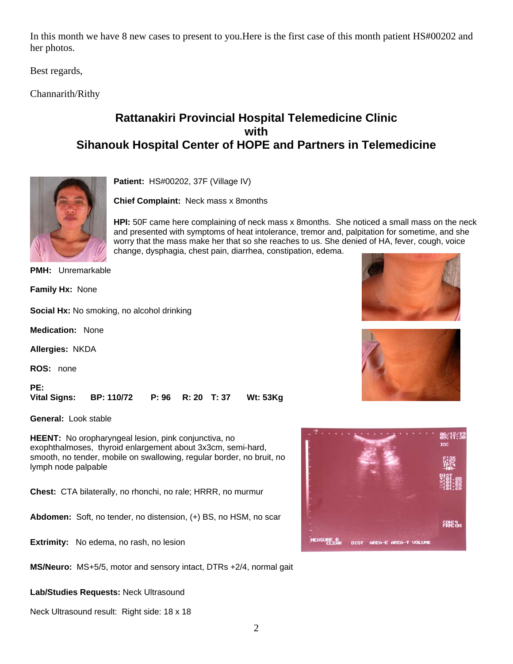In this month we have 8 new cases to present to you.Here is the first case of this month patient HS#00202 and her photos.

Best regards,

Channarith/Rithy

### **Rattanakiri Provincial Hospital Telemedicine Clinic with Sihanouk Hospital Center of HOPE and Partners in Telemedicine**



**Patient:** HS#00202, 37F (Village IV)

**Chief Complaint:** Neck mass x 8months

**HPI:** 50F came here complaining of neck mass x 8months. She noticed a small mass on the neck and presented with symptoms of heat intolerance, tremor and, palpitation for sometime, and she worry that the mass make her that so she reaches to us. She denied of HA, fever, cough, voice change, dysphagia, chest pain, diarrhea, constipation, edema.

**PMH:** Unremarkable

**Family Hx:** None

**Social Hx:** No smoking, no alcohol drinking

**Medication:** None

**Allergies:** NKDA

**ROS:** none

**PE: Vital Signs: BP: 110/72 P: 96 R: 20 T: 37 Wt: 53Kg**

**General:** Look stable

**HEENT:** No oropharyngeal lesion, pink conjunctiva, no exophthalmoses, thyroid enlargement about 3x3cm, semi-hard, smooth, no tender, mobile on swallowing, regular border, no bruit, no lymph node palpable

**Chest:** CTA bilaterally, no rhonchi, no rale; HRRR, no murmur

**Abdomen:** Soft, no tender, no distension, (+) BS, no HSM, no scar

**Extrimity:** No edema, no rash, no lesion

**MS/Neuro:** MS+5/5, motor and sensory intact, DTRs +2/4, normal gait

**Lab/Studies Requests:** Neck Ultrasound

Neck Ultrasound result: Right side: 18 x 18





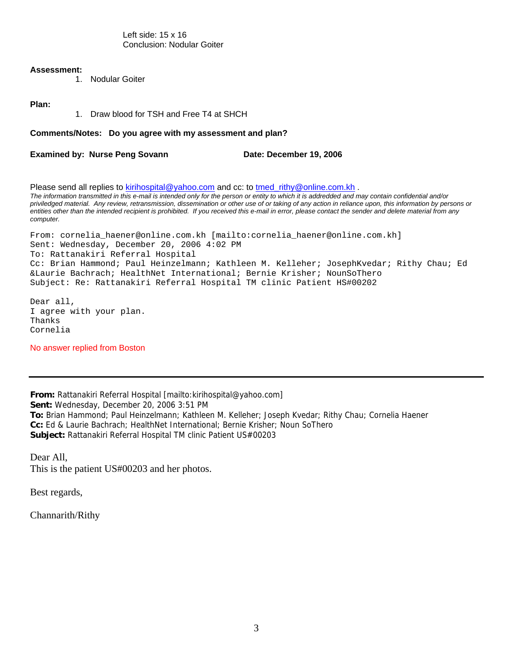Left side: 15 x 16 Conclusion: Nodular Goiter

#### **Assessment:**

1. Nodular Goiter

#### **Plan:**

1. Draw blood for TSH and Free T4 at SHCH

#### **Comments/Notes: Do you agree with my assessment and plan?**

**Examined by: Nurse Peng Sovann Case Contract Cate: December 19, 2006** 

Please send all replies to [kirihospital@yahoo.com](mailto:kirihospital@yahoo.com) and cc: to [tmed\\_rithy@online.com.kh](mailto:tmed_rithy@bigpond.com.kh) . *The information transmitted in this e-mail is intended only for the person or entity to which it is addredded and may contain confidential and/or priviledged material. Any review, retransmission, dissemination or other use of or taking of any action in reliance upon, this information by persons or entities other than the intended recipient is prohibited. If you received this e-mail in error, please contact the sender and delete material from any computer.* 

From: cornelia\_haener@online.com.kh [mailto:cornelia\_haener@online.com.kh] Sent: Wednesday, December 20, 2006 4:02 PM To: Rattanakiri Referral Hospital Cc: Brian Hammond; Paul Heinzelmann; Kathleen M. Kelleher; JosephKvedar; Rithy Chau; Ed &Laurie Bachrach; HealthNet International; Bernie Krisher; NounSoThero Subject: Re: Rattanakiri Referral Hospital TM clinic Patient HS#00202

Dear all, I agree with your plan. Thanks Cornelia

No answer replied from Boston

**From:** Rattanakiri Referral Hospital [mailto:kirihospital@yahoo.com] **Sent:** Wednesday, December 20, 2006 3:51 PM **To:** Brian Hammond; Paul Heinzelmann; Kathleen M. Kelleher; Joseph Kvedar; Rithy Chau; Cornelia Haener **Cc:** Ed & Laurie Bachrach; HealthNet International; Bernie Krisher; Noun SoThero **Subject:** Rattanakiri Referral Hospital TM clinic Patient US#00203

Dear All, This is the patient US#00203 and her photos.

Best regards,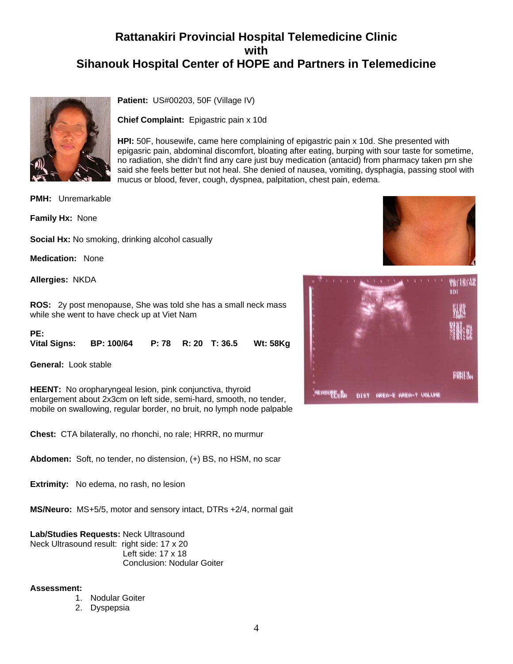

**Patient:** US#00203, 50F (Village IV)

**Chief Complaint:** Epigastric pain x 10d

**HPI:** 50F, housewife, came here complaining of epigastric pain x 10d. She presented with epigasric pain, abdominal discomfort, bloating after eating, burping with sour taste for sometime, no radiation, she didn't find any care just buy medication (antacid) from pharmacy taken prn she said she feels better but not heal. She denied of nausea, vomiting, dysphagia, passing stool with mucus or blood, fever, cough, dyspnea, palpitation, chest pain, edema.

**PMH:** Unremarkable

**Family Hx:** None

**Social Hx:** No smoking, drinking alcohol casually

**Medication:** None

**Allergies:** NKDA

**ROS:** 2y post menopause, She was told she has a small neck mass while she went to have check up at Viet Nam

**PE:** 

|  | Vital Signs: BP: 100/64  P: 78  R: 20  T: 36.5  Wt: 58Kg |  |  |  |  |
|--|----------------------------------------------------------|--|--|--|--|
|--|----------------------------------------------------------|--|--|--|--|

**General:** Look stable

**HEENT:** No oropharyngeal lesion, pink conjunctiva, thyroid enlargement about 2x3cm on left side, semi-hard, smooth, no tender, mobile on swallowing, regular border, no bruit, no lymph node palpable

**Chest:** CTA bilaterally, no rhonchi, no rale; HRRR, no murmur

**Abdomen:** Soft, no tender, no distension, (+) BS, no HSM, no scar

**Extrimity:** No edema, no rash, no lesion

**MS/Neuro:** MS+5/5, motor and sensory intact, DTRs +2/4, normal gait

**Lab/Studies Requests:** Neck Ultrasound Neck Ultrasound result: right side: 17 x 20 Left side: 17 x 18 Conclusion: Nodular Goiter

#### **Assessment:**

- 1. Nodular Goiter
- 2. Dyspepsia



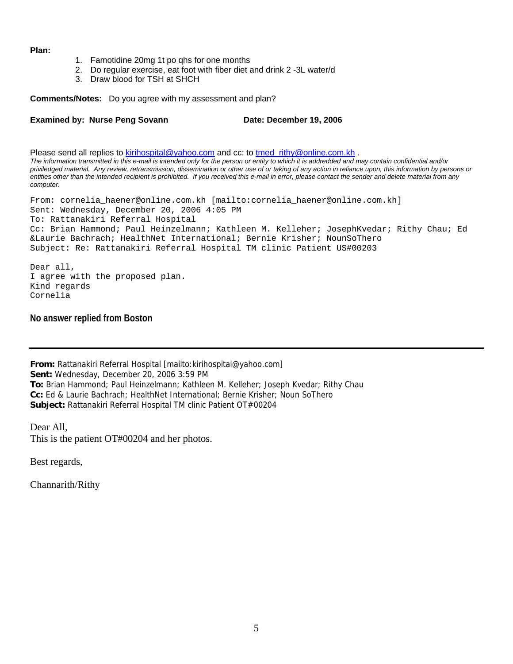#### **Plan:**

- 1. Famotidine 20mg 1t po qhs for one months
- 2. Do regular exercise, eat foot with fiber diet and drink 2 -3L water/d
- 3. Draw blood for TSH at SHCH

**Comments/Notes:** Do you agree with my assessment and plan?

Examined by: Nurse Peng Sovann Date: December 19, 2006

Please send all replies to [kirihospital@yahoo.com](mailto:kirihospital@yahoo.com) and cc: to tmed rithy@online.com.kh . *The information transmitted in this e-mail is intended only for the person or entity to which it is addredded and may contain confidential and/or priviledged material. Any review, retransmission, dissemination or other use of or taking of any action in reliance upon, this information by persons or entities other than the intended recipient is prohibited. If you received this e-mail in error, please contact the sender and delete material from any computer.* 

From: cornelia\_haener@online.com.kh [mailto:cornelia\_haener@online.com.kh] Sent: Wednesday, December 20, 2006 4:05 PM To: Rattanakiri Referral Hospital Cc: Brian Hammond; Paul Heinzelmann; Kathleen M. Kelleher; JosephKvedar; Rithy Chau; Ed &Laurie Bachrach; HealthNet International; Bernie Krisher; NounSoThero Subject: Re: Rattanakiri Referral Hospital TM clinic Patient US#00203

Dear all, I agree with the proposed plan. Kind regards Cornelia

**No answer replied from Boston** 

**From:** Rattanakiri Referral Hospital [mailto:kirihospital@yahoo.com] **Sent:** Wednesday, December 20, 2006 3:59 PM **To:** Brian Hammond; Paul Heinzelmann; Kathleen M. Kelleher; Joseph Kvedar; Rithy Chau **Cc:** Ed & Laurie Bachrach; HealthNet International; Bernie Krisher; Noun SoThero **Subject:** Rattanakiri Referral Hospital TM clinic Patient OT#00204

Dear All, This is the patient OT#00204 and her photos.

Best regards,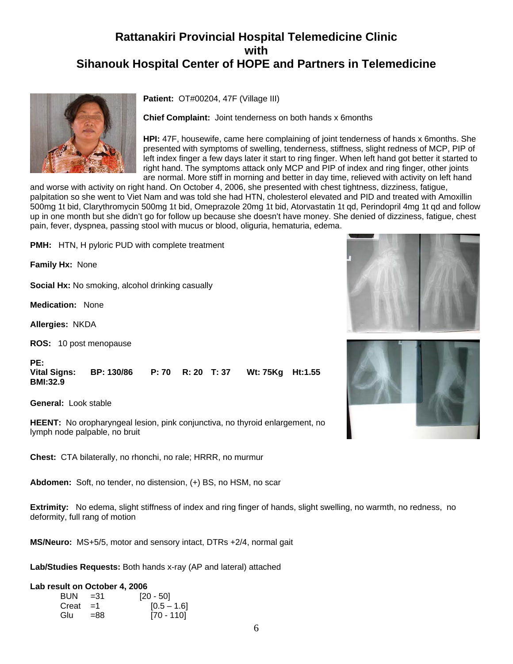

**Patient:** OT#00204, 47F (Village III)

**Chief Complaint:** Joint tenderness on both hands x 6months

**HPI:** 47F, housewife, came here complaining of joint tenderness of hands x 6months. She presented with symptoms of swelling, tenderness, stiffness, slight redness of MCP, PIP of left index finger a few days later it start to ring finger. When left hand got better it started to right hand. The symptoms attack only MCP and PIP of index and ring finger, other joints are normal. More stiff in morning and better in day time, relieved with activity on left hand

and worse with activity on right hand. On October 4, 2006, she presented with chest tightness, dizziness, fatigue, palpitation so she went to Viet Nam and was told she had HTN, cholesterol elevated and PID and treated with Amoxillin 500mg 1t bid, Clarythromycin 500mg 1t bid, Omeprazole 20mg 1t bid, Atorvastatin 1t qd, Perindopril 4mg 1t qd and follow up in one month but she didn't go for follow up because she doesn't have money. She denied of dizziness, fatigue, chest pain, fever, dyspnea, passing stool with mucus or blood, oliguria, hematuria, edema.

**PMH:** HTN, H pyloric PUD with complete treatment

**Family Hx:** None

**Social Hx:** No smoking, alcohol drinking casually

**Medication:** None

**Allergies:** NKDA

**ROS:** 10 post menopause

**PE: Vital Signs: BP: 130/86 P: 70 R: 20 T: 37 Wt: 75Kg Ht:1.55 BMI:32.9**

**General:** Look stable

**HEENT:** No oropharyngeal lesion, pink conjunctiva, no thyroid enlargement, no lymph node palpable, no bruit

**Chest:** CTA bilaterally, no rhonchi, no rale; HRRR, no murmur

**Abdomen:** Soft, no tender, no distension, (+) BS, no HSM, no scar

**Extrimity:** No edema, slight stiffness of index and ring finger of hands, slight swelling, no warmth, no redness, no deformity, full rang of motion

**MS/Neuro:** MS+5/5, motor and sensory intact, DTRs +2/4, normal gait

**Lab/Studies Requests:** Both hands x-ray (AP and lateral) attached

#### **Lab result on October 4, 2006**

| $BUN = 31$   |        | $[20 - 50]$   |
|--------------|--------|---------------|
| $Create = 1$ |        | $[0.5 - 1.6]$ |
| Glu          | $= 88$ | [70 - 110]    |



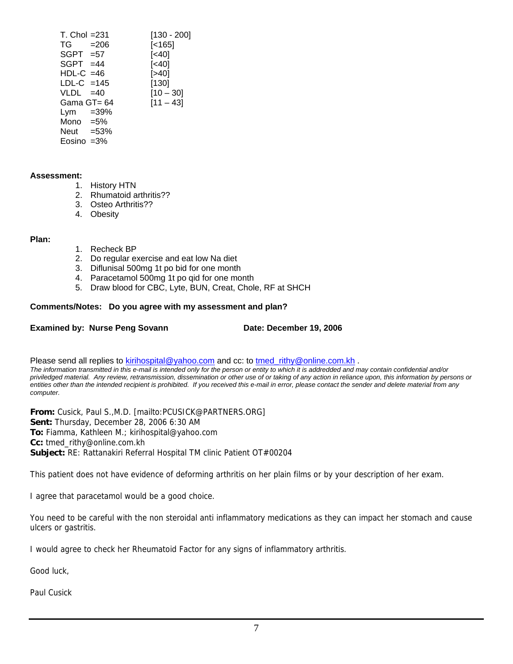| $T_{\rm L}$ Chol = 231 | $[130 - 200]$ |
|------------------------|---------------|
| $TG = 206$             | [< 165]       |
| $SGPT = 57$            | [<40]         |
| $SGPT = 44$            | [<40]         |
| $HDL-C = 46$           | [>40]         |
| $LDL-C = 145$          | [130]         |
| $VLDL = 40$            | $[10 - 30]$   |
| Gama GT= 64            | $[11 - 43]$   |
| Lym $=39\%$            |               |
| Mono $=5\%$            |               |
| Neut $=53\%$           |               |
| Eosino $=3\%$          |               |

#### **Assessment:**

- 1. History HTN
- 2. Rhumatoid arthritis??
- 3. Osteo Arthritis??
- 4. Obesity

#### **Plan:**

- 1. Recheck BP
- 2. Do regular exercise and eat low Na diet
- 3. Diflunisal 500mg 1t po bid for one month
- 4. Paracetamol 500mg 1t po qid for one month
- 5. Draw blood for CBC, Lyte, BUN, Creat, Chole, RF at SHCH

#### **Comments/Notes: Do you agree with my assessment and plan?**

#### **Examined by: Nurse Peng Sovann Commence Constrained Date: December 19, 2006**

Please send all replies to [kirihospital@yahoo.com](mailto:kirihospital@yahoo.com) and cc: to [tmed\\_rithy@online.com.kh](mailto:tmed_rithy@bigpond.com.kh) .

*The information transmitted in this e-mail is intended only for the person or entity to which it is addredded and may contain confidential and/or priviledged material. Any review, retransmission, dissemination or other use of or taking of any action in reliance upon, this information by persons or entities other than the intended recipient is prohibited. If you received this e-mail in error, please contact the sender and delete material from any computer.*

**From:** Cusick, Paul S.,M.D. [mailto:PCUSICK@PARTNERS.ORG] **Sent:** Thursday, December 28, 2006 6:30 AM **To:** Fiamma, Kathleen M.; kirihospital@yahoo.com **Cc:** tmed\_rithy@online.com.kh **Subject:** RE: Rattanakiri Referral Hospital TM clinic Patient OT#00204

This patient does not have evidence of deforming arthritis on her plain films or by your description of her exam.

I agree that paracetamol would be a good choice.

You need to be careful with the non steroidal anti inflammatory medications as they can impact her stomach and cause ulcers or gastritis.

I would agree to check her Rheumatoid Factor for any signs of inflammatory arthritis.

Good luck,

Paul Cusick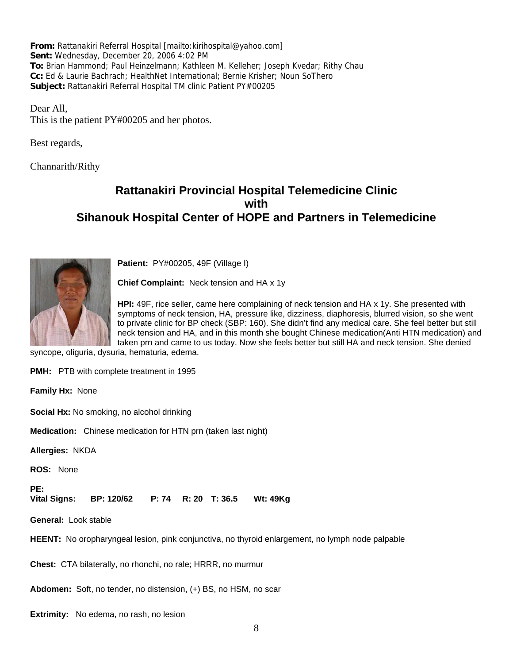**From:** Rattanakiri Referral Hospital [mailto:kirihospital@yahoo.com] **Sent:** Wednesday, December 20, 2006 4:02 PM **To:** Brian Hammond; Paul Heinzelmann; Kathleen M. Kelleher; Joseph Kvedar; Rithy Chau **Cc:** Ed & Laurie Bachrach; HealthNet International; Bernie Krisher; Noun SoThero **Subject:** Rattanakiri Referral Hospital TM clinic Patient PY#00205

Dear All, This is the patient PY#00205 and her photos.

Best regards,

Channarith/Rithy

### **Rattanakiri Provincial Hospital Telemedicine Clinic with Sihanouk Hospital Center of HOPE and Partners in Telemedicine**



**Patient:** PY#00205, 49F (Village I)

**Chief Complaint:** Neck tension and HA x 1y

**HPI:** 49F, rice seller, came here complaining of neck tension and HA x 1y. She presented with symptoms of neck tension, HA, pressure like, dizziness, diaphoresis, blurred vision, so she went to private clinic for BP check (SBP: 160). She didn't find any medical care. She feel better but still neck tension and HA, and in this month she bought Chinese medication(Anti HTN medication) and taken prn and came to us today. Now she feels better but still HA and neck tension. She denied

syncope, oliguria, dysuria, hematuria, edema.

**PMH:** PTB with complete treatment in 1995

**Family Hx:** None

**Social Hx:** No smoking, no alcohol drinking

**Medication:** Chinese medication for HTN prn (taken last night)

**Allergies:** NKDA

**ROS:** None

**PE:** 

**Vital Signs: BP: 120/62 P: 74 R: 20 T: 36.5 Wt: 49Kg**

**General:** Look stable

**HEENT:** No oropharyngeal lesion, pink conjunctiva, no thyroid enlargement, no lymph node palpable

**Chest:** CTA bilaterally, no rhonchi, no rale; HRRR, no murmur

**Abdomen:** Soft, no tender, no distension, (+) BS, no HSM, no scar

**Extrimity:** No edema, no rash, no lesion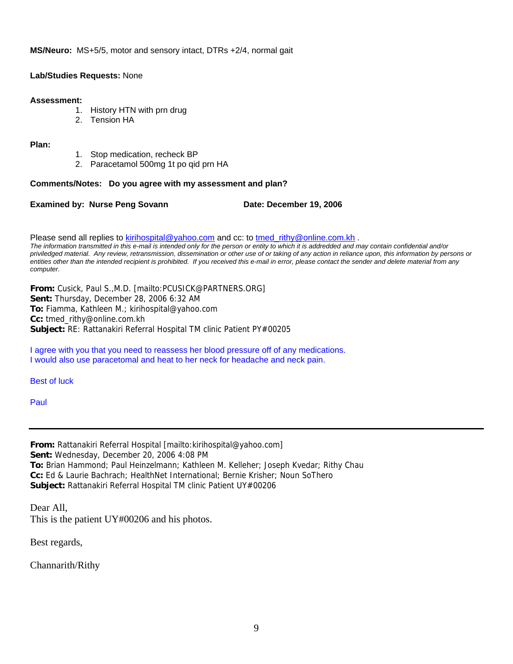**MS/Neuro:** MS+5/5, motor and sensory intact, DTRs +2/4, normal gait

#### **Lab/Studies Requests:** None

#### **Assessment:**

- 1. History HTN with prn drug
- 2. Tension HA

#### **Plan:**

- 1. Stop medication, recheck BP
- 2. Paracetamol 500mg 1t po qid prn HA

#### **Comments/Notes: Do you agree with my assessment and plan?**

**Examined by: Nurse Peng Sovann Date: December 19, 2006** 

Please send all replies to [kirihospital@yahoo.com](mailto:kirihospital@yahoo.com) and cc: to [tmed\\_rithy@online.com.kh](mailto:tmed_rithy@bigpond.com.kh) . *The information transmitted in this e-mail is intended only for the person or entity to which it is addredded and may contain confidential and/or priviledged material. Any review, retransmission, dissemination or other use of or taking of any action in reliance upon, this information by persons or entities other than the intended recipient is prohibited. If you received this e-mail in error, please contact the sender and delete material from any computer.*

**From:** Cusick, Paul S.,M.D. [mailto:PCUSICK@PARTNERS.ORG] **Sent:** Thursday, December 28, 2006 6:32 AM **To:** Fiamma, Kathleen M.; kirihospital@yahoo.com **Cc:** tmed\_rithy@online.com.kh **Subject:** RE: Rattanakiri Referral Hospital TM clinic Patient PY#00205

I agree with you that you need to reassess her blood pressure off of any medications. I would also use paracetomal and heat to her neck for headache and neck pain.

Best of luck

Paul

**From:** Rattanakiri Referral Hospital [mailto:kirihospital@yahoo.com] **Sent:** Wednesday, December 20, 2006 4:08 PM **To:** Brian Hammond; Paul Heinzelmann; Kathleen M. Kelleher; Joseph Kvedar; Rithy Chau **Cc:** Ed & Laurie Bachrach; HealthNet International; Bernie Krisher; Noun SoThero **Subject:** Rattanakiri Referral Hospital TM clinic Patient UY#00206

Dear All, This is the patient UY#00206 and his photos.

Best regards,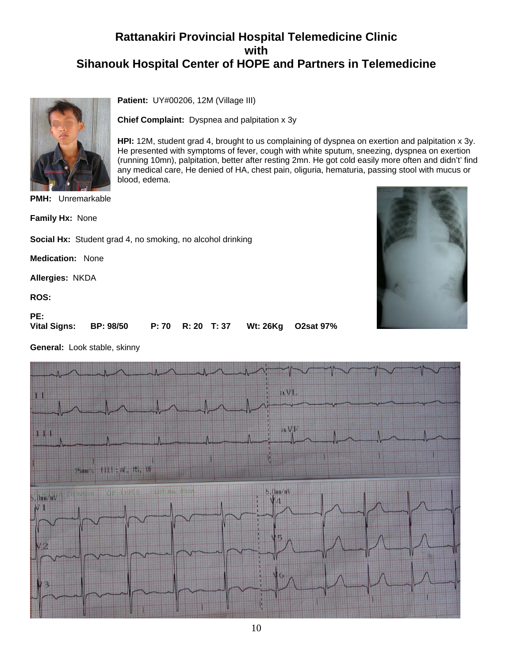**HPI:** 12M, student grad 4, brought to us complaining of dyspnea on exertion and palpitation x 3y. He presented with symptoms of fever, cough with white sputum, sneezing, dyspnea on exertion (running 10mn), palpitation, better after resting 2mn. He got cold easily more often and didn't' find any medical care, He denied of HA, chest pain, oliguria, hematuria, passing stool with mucus or



**PMH:** Unremarkable

**Family Hx:** None

**Social Hx:** Student grad 4, no smoking, no alcohol drinking

blood, edema.

**Patient:** UY#00206, 12M (Village III)

**Chief Complaint:** Dyspnea and palpitation x 3y

**Medication:** None

**Allergies:** NKDA

**ROS:**

#### **PE:**

**Vital Signs: BP: 98/50 P: 70 R: 20 T: 37 Wt: 26Kg O2sat 97%**

**General:** Look stable, skinny



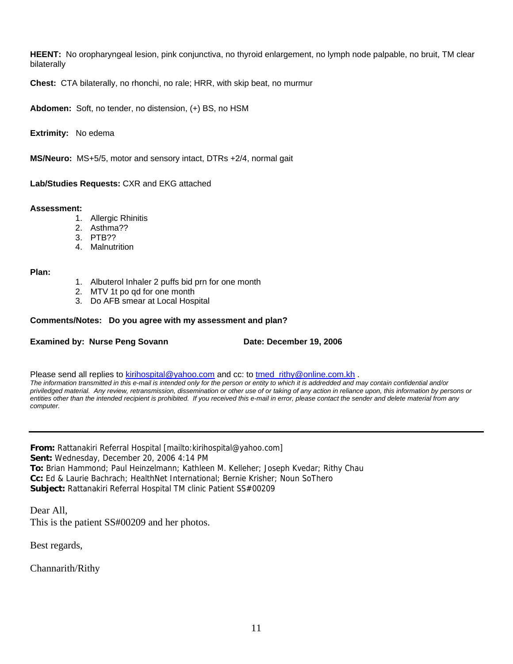**HEENT:** No oropharyngeal lesion, pink conjunctiva, no thyroid enlargement, no lymph node palpable, no bruit, TM clear bilaterally

**Chest:** CTA bilaterally, no rhonchi, no rale; HRR, with skip beat, no murmur

**Abdomen:** Soft, no tender, no distension, (+) BS, no HSM

**Extrimity:** No edema

**MS/Neuro:** MS+5/5, motor and sensory intact, DTRs +2/4, normal gait

**Lab/Studies Requests:** CXR and EKG attached

#### **Assessment:**

- 1. Allergic Rhinitis
- 2. Asthma??
- 3. PTB??
- 4. Malnutrition

#### **Plan:**

- 1. Albuterol Inhaler 2 puffs bid prn for one month
- 2. MTV 1t po qd for one month
- 3. Do AFB smear at Local Hospital

#### **Comments/Notes: Do you agree with my assessment and plan?**

#### **Examined by: Nurse Peng Sovann Date: December 19, 2006**

Please send all replies to [kirihospital@yahoo.com](mailto:kirihospital@yahoo.com) and cc: to tmed rithy@online.com.kh .

*The information transmitted in this e-mail is intended only for the person or entity to which it is addredded and may contain confidential and/or priviledged material. Any review, retransmission, dissemination or other use of or taking of any action in reliance upon, this information by persons or entities other than the intended recipient is prohibited. If you received this e-mail in error, please contact the sender and delete material from any computer.*

**From:** Rattanakiri Referral Hospital [mailto:kirihospital@yahoo.com] **Sent:** Wednesday, December 20, 2006 4:14 PM **To:** Brian Hammond; Paul Heinzelmann; Kathleen M. Kelleher; Joseph Kvedar; Rithy Chau **Cc:** Ed & Laurie Bachrach; HealthNet International; Bernie Krisher; Noun SoThero **Subject:** Rattanakiri Referral Hospital TM clinic Patient SS#00209

Dear All, This is the patient SS#00209 and her photos.

Best regards,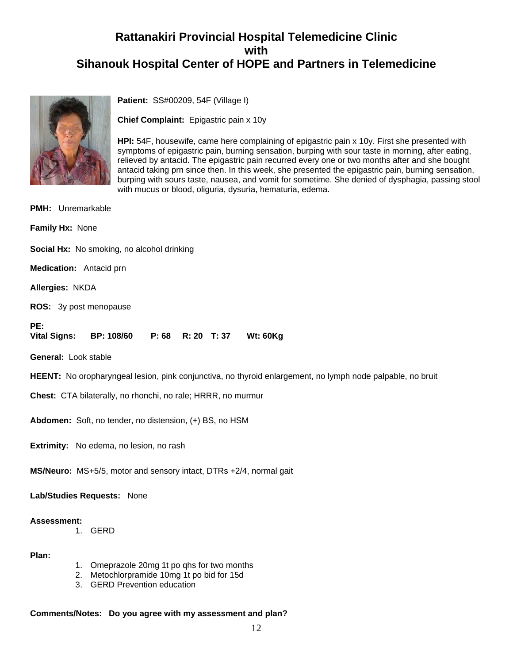

**Patient:** SS#00209, 54F (Village I)

**Chief Complaint:** Epigastric pain x 10y

**HPI:** 54F, housewife, came here complaining of epigastric pain x 10y. First she presented with symptoms of epigastric pain, burning sensation, burping with sour taste in morning, after eating, relieved by antacid. The epigastric pain recurred every one or two months after and she bought antacid taking prn since then. In this week, she presented the epigastric pain, burning sensation, burping with sours taste, nausea, and vomit for sometime. She denied of dysphagia, passing stool with mucus or blood, oliguria, dysuria, hematuria, edema.

**PMH:** Unremarkable **Family Hx:** None **Social Hx:** No smoking, no alcohol drinking **Medication:** Antacid prn **Allergies:** NKDA **ROS:** 3y post menopause **PE: Vital Signs: BP: 108/60 P: 68 R: 20 T: 37 Wt: 60Kg General:** Look stable **HEENT:** No oropharyngeal lesion, pink conjunctiva, no thyroid enlargement, no lymph node palpable, no bruit **Chest:** CTA bilaterally, no rhonchi, no rale; HRRR, no murmur **Abdomen:** Soft, no tender, no distension, (+) BS, no HSM **Extrimity:** No edema, no lesion, no rash **MS/Neuro:** MS+5/5, motor and sensory intact, DTRs +2/4, normal gait **Lab/Studies Requests:** None

#### **Assessment:**

1. GERD

**Plan:**

- 1. Omeprazole 20mg 1t po qhs for two months
- 2. Metochlorpramide 10mg 1t po bid for 15d
- 3. GERD Prevention education

#### **Comments/Notes: Do you agree with my assessment and plan?**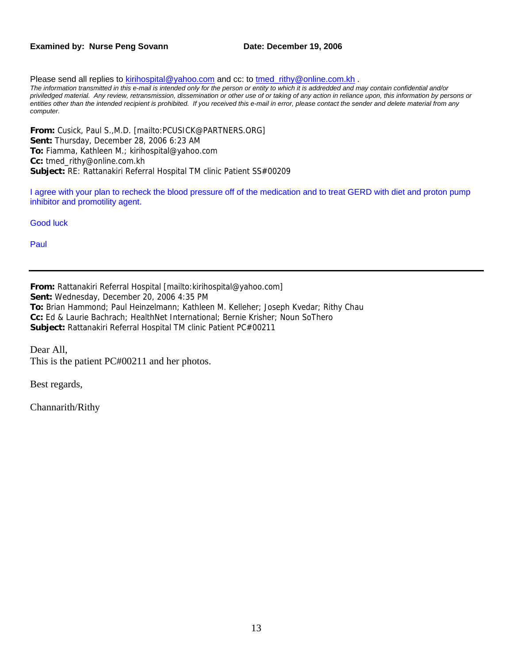#### **Examined by: Nurse Peng Sovann Date: December 19, 2006**

Please send all replies to [kirihospital@yahoo.com](mailto:kirihospital@yahoo.com) and cc: to tmed rithy@online.com.kh . *The information transmitted in this e-mail is intended only for the person or entity to which it is addredded and may contain confidential and/or priviledged material. Any review, retransmission, dissemination or other use of or taking of any action in reliance upon, this information by persons or entities other than the intended recipient is prohibited. If you received this e-mail in error, please contact the sender and delete material from any computer.*

**From:** Cusick, Paul S.,M.D. [mailto:PCUSICK@PARTNERS.ORG] **Sent:** Thursday, December 28, 2006 6:23 AM **To:** Fiamma, Kathleen M.; kirihospital@yahoo.com **Cc:** tmed\_rithy@online.com.kh **Subject:** RE: Rattanakiri Referral Hospital TM clinic Patient SS#00209

I agree with your plan to recheck the blood pressure off of the medication and to treat GERD with diet and proton pump inhibitor and promotility agent.

Good luck

Paul

**From:** Rattanakiri Referral Hospital [mailto:kirihospital@yahoo.com] **Sent:** Wednesday, December 20, 2006 4:35 PM **To:** Brian Hammond; Paul Heinzelmann; Kathleen M. Kelleher; Joseph Kvedar; Rithy Chau **Cc:** Ed & Laurie Bachrach; HealthNet International; Bernie Krisher; Noun SoThero **Subject:** Rattanakiri Referral Hospital TM clinic Patient PC#00211

Dear All, This is the patient PC#00211 and her photos.

Best regards,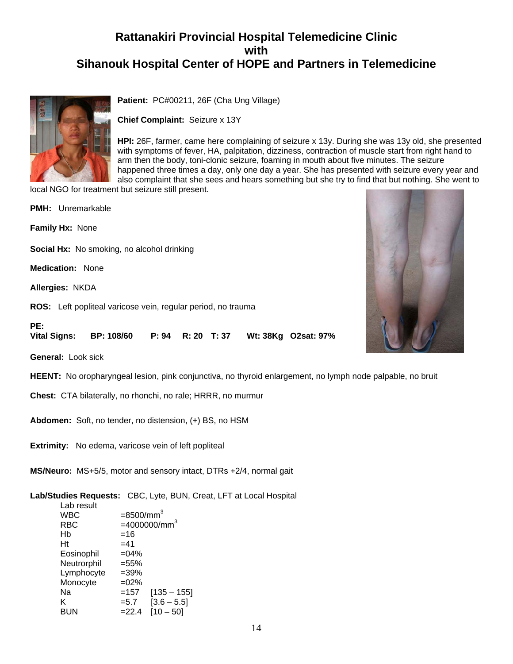

**Patient:** PC#00211, 26F (Cha Ung Village)

**Chief Complaint:** Seizure x 13Y

**HPI:** 26F, farmer, came here complaining of seizure x 13y. During she was 13y old, she presented with symptoms of fever, HA, palpitation, dizziness, contraction of muscle start from right hand to arm then the body, toni-clonic seizure, foaming in mouth about five minutes. The seizure happened three times a day, only one day a year. She has presented with seizure every year and also complaint that she sees and hears something but she try to find that but nothing. She went to

local NGO for treatment but seizure still present.

| <b>PMH:</b> Unremarkable                                                         |
|----------------------------------------------------------------------------------|
| <b>Family Hx: None</b>                                                           |
| <b>Social Hx:</b> No smoking, no alcohol drinking                                |
| <b>Medication: None</b>                                                          |
| <b>Allergies: NKDA</b>                                                           |
| ROS: Left popliteal varicose vein, regular period, no trauma                     |
| PE:<br>Vital Signs:<br>BP: 108/60<br>R: 20 T: 37<br>P: 94<br>Wt: 38Kg O2sat: 97% |
| <b>General:</b> Look sick                                                        |

**HEENT:** No oropharyngeal lesion, pink conjunctiva, no thyroid enlargement, no lymph node palpable, no bruit

**Chest:** CTA bilaterally, no rhonchi, no rale; HRRR, no murmur

**Abdomen:** Soft, no tender, no distension, (+) BS, no HSM

**Extrimity:** No edema, varicose vein of left popliteal

**MS/Neuro:** MS+5/5, motor and sensory intact, DTRs +2/4, normal gait

**Lab/Studies Requests:** CBC, Lyte, BUN, Creat, LFT at Local Hospital

| Lab result  |                          |
|-------------|--------------------------|
| WBC         | $=$ 8500/mm <sup>3</sup> |
| RBC         | $=4000000/mm3$           |
| Hb          | =16                      |
| Ht          | $=41$                    |
| Eosinophil  | $=04%$                   |
| Neutrorphil | $= 55%$                  |
| Lymphocyte  | $=39%$                   |
| Monocyte    | $=02%$                   |
| Nа          | $[135 - 155]$<br>$=157$  |
| ĸ           | $[3.6 - 5.5]$<br>$= 5.7$ |
| BUN         | $= 22.4$<br>$[10 - 50]$  |

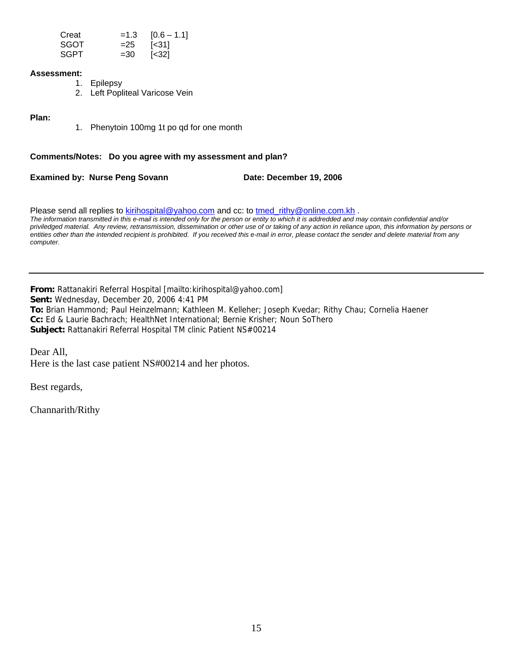| Creat       |        | $=1.3$ [0.6 - 1.1]       |
|-------------|--------|--------------------------|
| <b>SGOT</b> | $= 25$ | $\left[ \leq 31 \right]$ |
| <b>SGPT</b> | $=30$  | $\left[ < 32 \right]$    |

#### **Assessment:**

- 1. Epilepsy
- 2. Left Popliteal Varicose Vein

#### **Plan:**

1. Phenytoin 100mg 1t po qd for one month

#### **Comments/Notes: Do you agree with my assessment and plan?**

**Examined by: Nurse Peng Sovann Date: December 19, 2006** 

Please send all replies to [kirihospital@yahoo.com](mailto:kirihospital@yahoo.com) and cc: to tmed rithy@online.com.kh . *The information transmitted in this e-mail is intended only for the person or entity to which it is addredded and may contain confidential and/or priviledged material. Any review, retransmission, dissemination or other use of or taking of any action in reliance upon, this information by persons or entities other than the intended recipient is prohibited. If you received this e-mail in error, please contact the sender and delete material from any computer.* 

**From:** Rattanakiri Referral Hospital [mailto:kirihospital@yahoo.com] **Sent:** Wednesday, December 20, 2006 4:41 PM **To:** Brian Hammond; Paul Heinzelmann; Kathleen M. Kelleher; Joseph Kvedar; Rithy Chau; Cornelia Haener **Cc:** Ed & Laurie Bachrach; HealthNet International; Bernie Krisher; Noun SoThero **Subject:** Rattanakiri Referral Hospital TM clinic Patient NS#00214

Dear All, Here is the last case patient NS#00214 and her photos.

Best regards,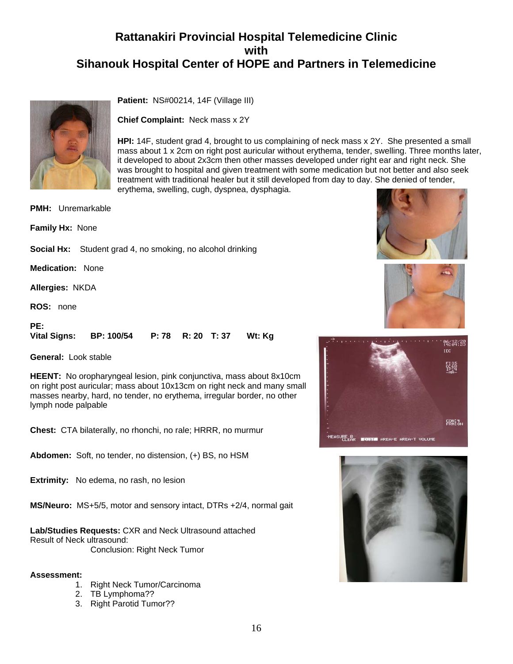

**Patient:** NS#00214, 14F (Village III)

**Chief Complaint:** Neck mass x 2Y

**HPI:** 14F, student grad 4, brought to us complaining of neck mass x 2Y. She presented a small mass about 1 x 2cm on right post auricular without erythema, tender, swelling. Three months later, it developed to about 2x3cm then other masses developed under right ear and right neck. She was brought to hospital and given treatment with some medication but not better and also seek treatment with traditional healer but it still developed from day to day. She denied of tender, erythema, swelling, cugh, dyspnea, dysphagia.

**PMH:** Unremarkable

**Family Hx:** None

**Social Hx:** Student grad 4, no smoking, no alcohol drinking

**Medication:** None

**Allergies:** NKDA

**ROS:** none

#### **PE:**

**Vital Signs: BP: 100/54 P: 78 R: 20 T: 37 Wt: Kg**

**General:** Look stable

**HEENT:** No oropharyngeal lesion, pink conjunctiva, mass about 8x10cm on right post auricular; mass about 10x13cm on right neck and many small masses nearby, hard, no tender, no erythema, irregular border, no other lymph node palpable

**Chest:** CTA bilaterally, no rhonchi, no rale; HRRR, no murmur

**Abdomen:** Soft, no tender, no distension, (+) BS, no HSM

**Extrimity:** No edema, no rash, no lesion

**MS/Neuro:** MS+5/5, motor and sensory intact, DTRs +2/4, normal gait

**Lab/Studies Requests:** CXR and Neck Ultrasound attached Result of Neck ultrasound:

Conclusion: Right Neck Tumor

#### **Assessment:**

- 1. Right Neck Tumor/Carcinoma
- 2. TB Lymphoma??
- 3. Right Parotid Tumor??







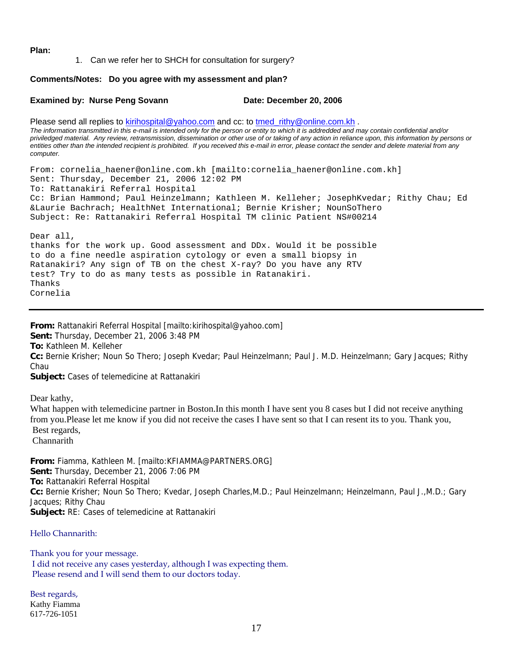**Plan:**

1. Can we refer her to SHCH for consultation for surgery?

#### **Comments/Notes: Do you agree with my assessment and plan?**

#### Examined by: Nurse Peng Sovann Date: December 20, 2006

Please send all replies to [kirihospital@yahoo.com](mailto:kirihospital@yahoo.com) and cc: to [tmed\\_rithy@online.com.kh](mailto:tmed_rithy@bigpond.com.kh) . *The information transmitted in this e-mail is intended only for the person or entity to which it is addredded and may contain confidential and/or priviledged material. Any review, retransmission, dissemination or other use of or taking of any action in reliance upon, this information by persons or entities other than the intended recipient is prohibited. If you received this e-mail in error, please contact the sender and delete material from any computer.* 

From: cornelia\_haener@online.com.kh [mailto:cornelia\_haener@online.com.kh] Sent: Thursday, December 21, 2006 12:02 PM To: Rattanakiri Referral Hospital Cc: Brian Hammond; Paul Heinzelmann; Kathleen M. Kelleher; JosephKvedar; Rithy Chau; Ed &Laurie Bachrach; HealthNet International; Bernie Krisher; NounSoThero Subject: Re: Rattanakiri Referral Hospital TM clinic Patient NS#00214

Dear all, thanks for the work up. Good assessment and DDx. Would it be possible to do a fine needle aspiration cytology or even a small biopsy in Ratanakiri? Any sign of TB on the chest X-ray? Do you have any RTV test? Try to do as many tests as possible in Ratanakiri. Thanks Cornelia

**From:** Rattanakiri Referral Hospital [mailto:kirihospital@yahoo.com] **Sent:** Thursday, December 21, 2006 3:48 PM **To:** Kathleen M. Kelleher **Cc:** Bernie Krisher; Noun So Thero; Joseph Kvedar; Paul Heinzelmann; Paul J. M.D. Heinzelmann; Gary Jacques; Rithy Chau **Subject:** Cases of telemedicine at Rattanakiri

Dear kathy,

What happen with telemedicine partner in Boston. In this month I have sent you 8 cases but I did not receive anything from you.Please let me know if you did not receive the cases I have sent so that I can resent its to you. Thank you, Best regards,

**Channarith** 

**From:** Fiamma, Kathleen M. [mailto:KFIAMMA@PARTNERS.ORG] **Sent:** Thursday, December 21, 2006 7:06 PM **To:** Rattanakiri Referral Hospital **Cc:** Bernie Krisher; Noun So Thero; Kvedar, Joseph Charles,M.D.; Paul Heinzelmann; Heinzelmann, Paul J.,M.D.; Gary Jacques; Rithy Chau **Subject:** RE: Cases of telemedicine at Rattanakiri

Hello Channarith:

Thank you for your message. I did not receive any cases yesterday, although I was expecting them. Please resend and I will send them to our doctors today.

Best regards, Kathy Fiamma 617-726-1051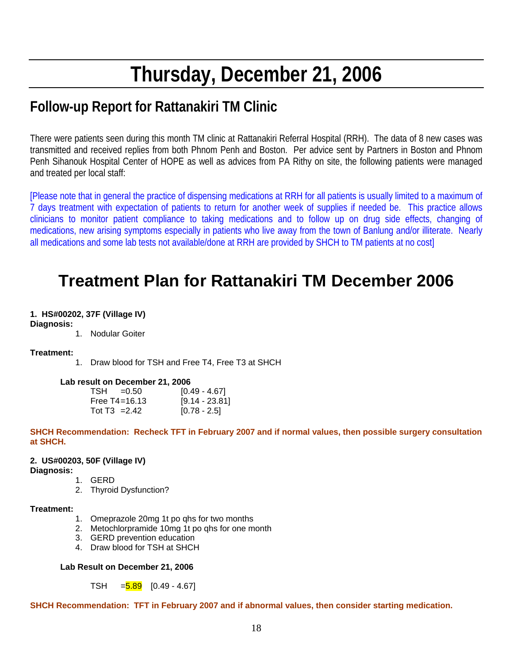# **Thursday, December 21, 2006**

# **Follow-up Report for Rattanakiri TM Clinic**

There were patients seen during this month TM clinic at Rattanakiri Referral Hospital (RRH). The data of 8 new cases was transmitted and received replies from both Phnom Penh and Boston. Per advice sent by Partners in Boston and Phnom Penh Sihanouk Hospital Center of HOPE as well as advices from PA Rithy on site, the following patients were managed and treated per local staff:

[Please note that in general the practice of dispensing medications at RRH for all patients is usually limited to a maximum of 7 days treatment with expectation of patients to return for another week of supplies if needed be. This practice allows clinicians to monitor patient compliance to taking medications and to follow up on drug side effects, changing of medications, new arising symptoms especially in patients who live away from the town of Banlung and/or illiterate. Nearly all medications and some lab tests not available/done at RRH are provided by SHCH to TM patients at no cost]

# **Treatment Plan for Rattanakiri TM December 2006**

#### **1. HS#00202, 37F (Village IV)**

**Diagnosis:**

1. Nodular Goiter

#### **Treatment:**

1. Draw blood for TSH and Free T4, Free T3 at SHCH

#### **Lab result on December 21, 2006**

| $TSH = 0.50$      | [0.49 - 4.67]  |
|-------------------|----------------|
| Free $T4 = 16.13$ | [9.14 - 23.81] |
| Tot $T3 = 2.42$   | $[0.78 - 2.5]$ |

**SHCH Recommendation: Recheck TFT in February 2007 and if normal values, then possible surgery consultation at SHCH.** 

#### **2. US#00203, 50F (Village IV)**

**Diagnosis:**

- 1. GERD
- 2. Thyroid Dysfunction?

#### **Treatment:**

- 1. Omeprazole 20mg 1t po qhs for two months
- 2. Metochlorpramide 10mg 1t po qhs for one month
- 3. GERD prevention education
- 4. Draw blood for TSH at SHCH

#### **Lab Result on December 21, 2006**

#### TSH  $=$   $\frac{5.89}{10.49}$  - 4.67]

**SHCH Recommendation: TFT in February 2007 and if abnormal values, then consider starting medication.**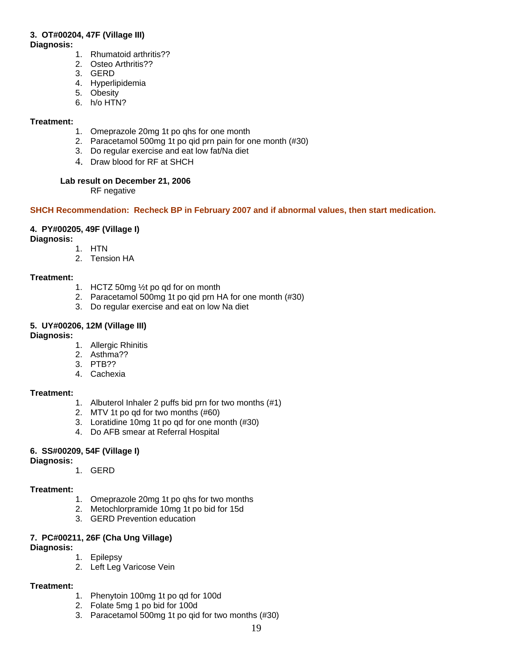#### **3. OT#00204, 47F (Village III)**

**Diagnosis:**

- 1. Rhumatoid arthritis??
- 2. Osteo Arthritis??
- 3. GERD
- 4. Hyperlipidemia
- 5. Obesity
- 6. h/o HTN?

#### **Treatment:**

- 1. Omeprazole 20mg 1t po qhs for one month
- 2. Paracetamol 500mg 1t po qid prn pain for one month (#30)
- 3. Do regular exercise and eat low fat/Na diet
- 4. Draw blood for RF at SHCH

#### **Lab result on December 21, 2006**

RF negative

#### **SHCH Recommendation: Recheck BP in February 2007 and if abnormal values, then start medication.**

#### **4. PY#00205, 49F (Village I)**

**Diagnosis:**

- 1. HTN
- 2. Tension HA

#### **Treatment:**

- 1. HCTZ 50mg ½t po qd for on month
- 2. Paracetamol 500mg 1t po qid prn HA for one month (#30)
- 3. Do regular exercise and eat on low Na diet

#### **5. UY#00206, 12M (Village III)**

#### **Diagnosis:**

- 1. Allergic Rhinitis
- 2. Asthma??
- 3. PTB??
- 4. Cachexia

#### **Treatment:**

- 1. Albuterol Inhaler 2 puffs bid prn for two months (#1)
- 2. MTV 1t po qd for two months (#60)
- 3. Loratidine 10mg 1t po qd for one month (#30)
- 4. Do AFB smear at Referral Hospital

#### **6. SS#00209, 54F (Village I)**

#### **Diagnosis:**

1. GERD

#### **Treatment:**

- 1. Omeprazole 20mg 1t po qhs for two months
- 2. Metochlorpramide 10mg 1t po bid for 15d
- 3. GERD Prevention education

#### **7. PC#00211, 26F (Cha Ung Village)**

#### **Diagnosis:**

- 1. Epilepsy
- 2. Left Leg Varicose Vein

#### **Treatment:**

- 1. Phenytoin 100mg 1t po qd for 100d
- 2. Folate 5mg 1 po bid for 100d
- 3. Paracetamol 500mg 1t po qid for two months (#30)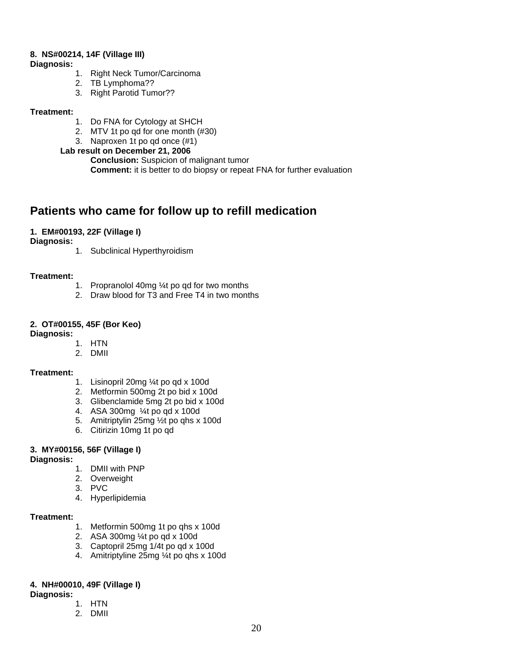#### **8. NS#00214, 14F (Village III)**

**Diagnosis:**

- 1. Right Neck Tumor/Carcinoma
- 2. TB Lymphoma??
- 3. Right Parotid Tumor??

#### **Treatment:**

- 1. Do FNA for Cytology at SHCH
- 2. MTV 1t po qd for one month (#30)
- 3. Naproxen 1t po qd once (#1)

#### **Lab result on December 21, 2006**

 **Conclusion:** Suspicion of malignant tumor **Comment:** it is better to do biopsy or repeat FNA for further evaluation

### **Patients who came for follow up to refill medication**

#### **1. EM#00193, 22F (Village I)**

**Diagnosis:**

1. Subclinical Hyperthyroidism

#### **Treatment:**

- 1. Propranolol 40mg ¼t po qd for two months
- 2. Draw blood for T3 and Free T4 in two months

#### **2. OT#00155, 45F (Bor Keo)**

**Diagnosis:** 

- 1. HTN
- 2. DMII

#### **Treatment:**

- 1. Lisinopril 20mg ¼t po qd x 100d
- 2. Metformin 500mg 2t po bid x 100d
- 3. Glibenclamide 5mg 2t po bid x 100d
- 4. ASA 300mg ¼t po qd x 100d
- 5. Amitriptylin 25mg ½t po qhs x 100d
- 6. Citirizin 10mg 1t po qd

#### **3. MY#00156, 56F (Village I)**

**Diagnosis:** 

- 1. DMII with PNP
- 2. Overweight
- 3. PVC
- 4. Hyperlipidemia

#### **Treatment:**

- 1. Metformin 500mg 1t po qhs x 100d
- 2. ASA 300mg ¼t po qd x 100d
- 3. Captopril 25mg 1/4t po qd x 100d
- 4. Amitriptyline 25mg ¼t po qhs x 100d

#### **4. NH#00010, 49F (Village I)**

**Diagnosis:** 

- 1. HTN
- 2. DMII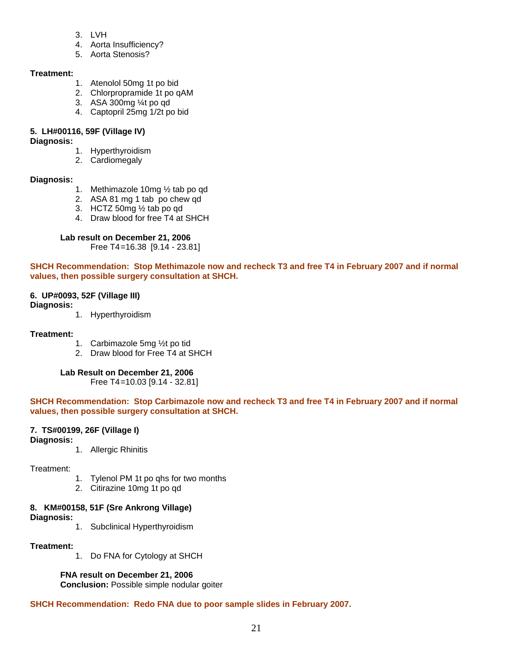- 3. LVH
- 4. Aorta Insufficiency?
- 5. Aorta Stenosis?

#### **Treatment:**

- 1. Atenolol 50mg 1t po bid
- 2. Chlorpropramide 1t po qAM
- 3. ASA 300mg ¼t po qd
- 4. Captopril 25mg 1/2t po bid

#### **5. LH#00116, 59F (Village IV)**

#### **Diagnosis:**

- 1. Hyperthyroidism
- 2. Cardiomegaly

#### **Diagnosis:**

- 1. Methimazole 10mg ½ tab po qd
- 2. ASA 81 mg 1 tab po chew qd
- 3. HCTZ 50mg ½ tab po qd
- 4. Draw blood for free T4 at SHCH

#### **Lab result on December 21, 2006**

Free T4 =16.38 [9.14 - 23.81]

#### **SHCH Recommendation: Stop Methimazole now and recheck T3 and free T4 in February 2007 and if normal values, then possible surgery consultation at SHCH.**

#### **6. UP#0093, 52F (Village III)**

#### **Diagnosis:**

1. Hyperthyroidism

#### **Treatment:**

- 1. Carbimazole 5mg ½t po tid
- 2. Draw blood for Free T4 at SHCH

#### **Lab Result on December 21, 2006**

Free T4 =10.03 [9.14 - 32.81]

**SHCH Recommendation: Stop Carbimazole now and recheck T3 and free T4 in February 2007 and if normal values, then possible surgery consultation at SHCH.** 

#### **7. TS#00199, 26F (Village I)**

- **Diagnosis:**
- 1. Allergic Rhinitis

Treatment:

- 1. Tylenol PM 1t po qhs for two months
- 2. Citirazine 10mg 1t po qd

#### **8. KM#00158, 51F (Sre Ankrong Village)**

**Diagnosis:** 

1. Subclinical Hyperthyroidism

#### **Treatment:**

1. Do FNA for Cytology at SHCH

#### **FNA result on December 21, 2006**

 **Conclusion:** Possible simple nodular goiter

#### **SHCH Recommendation: Redo FNA due to poor sample slides in February 2007.**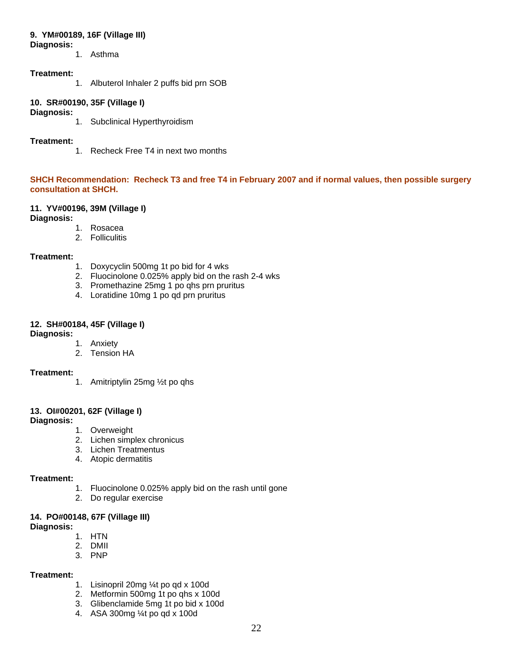#### **9. YM#00189, 16F (Village III)**

#### **Diagnosis:**

1. Asthma

#### **Treatment:**

1. Albuterol Inhaler 2 puffs bid prn SOB

#### **10. SR#00190, 35F (Village I)**

#### **Diagnosis:**

1. Subclinical Hyperthyroidism

#### **Treatment:**

1. Recheck Free T4 in next two months

#### **SHCH Recommendation: Recheck T3 and free T4 in February 2007 and if normal values, then possible surgery consultation at SHCH.**

#### **11. YV#00196, 39M (Village I)**

**Diagnosis:**

- 1. Rosacea
- 2. Folliculitis

#### **Treatment:**

- 1. Doxycyclin 500mg 1t po bid for 4 wks
- 2. Fluocinolone 0.025% apply bid on the rash 2-4 wks
- 3. Promethazine 25mg 1 po qhs prn pruritus
- 4. Loratidine 10mg 1 po qd prn pruritus

#### **12. SH#00184, 45F (Village I)**

#### **Diagnosis:**

1. Anxiety

2. Tension HA

#### **Treatment:**

1. Amitriptylin 25mg ½t po qhs

#### **13. OI#00201, 62F (Village I)**

#### **Diagnosis:**

- 1. Overweight
- 2. Lichen simplex chronicus
- 3. Lichen Treatmentus
- 4. Atopic dermatitis

#### **Treatment:**

- 1. Fluocinolone 0.025% apply bid on the rash until gone
- 2. Do regular exercise

#### **14. PO#00148, 67F (Village III)**

**Diagnosis:** 

- 1. HTN
- 2. DMII
- 3. PNP

#### **Treatment:**

- 1. Lisinopril 20mg ¼t po qd x 100d
- 2. Metformin 500mg 1t po qhs x 100d
- 3. Glibenclamide 5mg 1t po bid x 100d
- 4. ASA 300mg ¼t po qd x 100d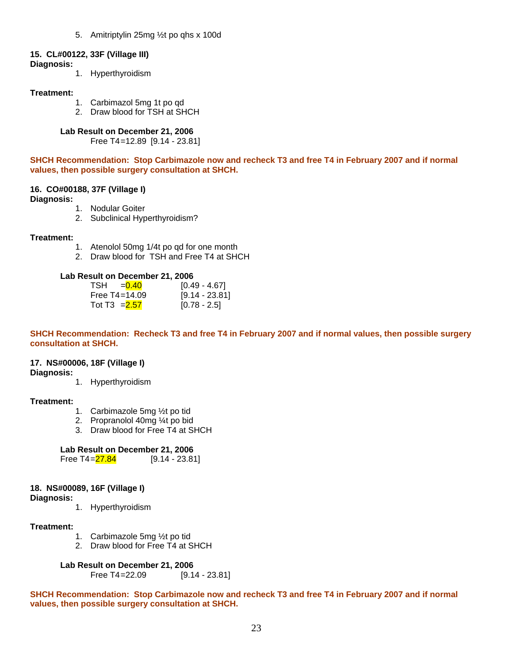5. Amitriptylin 25mg ½t po qhs x 100d

#### **15. CL#00122, 33F (Village III)**

**Diagnosis:** 

1. Hyperthyroidism

#### **Treatment:**

- 1. Carbimazol 5mg 1t po qd
- 2. Draw blood for TSH at SHCH

#### **Lab Result on December 21, 2006**

Free T4 =12.89 [9.14 - 23.81]

**SHCH Recommendation: Stop Carbimazole now and recheck T3 and free T4 in February 2007 and if normal values, then possible surgery consultation at SHCH.** 

#### **16. CO#00188, 37F (Village I)**

**Diagnosis:** 

- 1. Nodular Goiter
- 2. Subclinical Hyperthyroidism?

#### **Treatment:**

- 1. Atenolol 50mg 1/4t po qd for one month
- 2. Draw blood for TSH and Free T4 at SHCH

#### **Lab Result on December 21, 2006**

| $TSH = 0.40$      | [0.49 - 4.67]  |
|-------------------|----------------|
| Free $T4 = 14.09$ | [9.14 - 23.81] |
| Tot T3 $= 2.57$   | $[0.78 - 2.5]$ |

**SHCH Recommendation: Recheck T3 and free T4 in February 2007 and if normal values, then possible surgery consultation at SHCH.** 

#### **17. NS#00006, 18F (Village I)**

**Diagnosis:** 

1. Hyperthyroidism

#### **Treatment:**

- 1. Carbimazole 5mg ½t po tid
- 2. Propranolol 40mg ¼t po bid
- 3. Draw blood for Free T4 at SHCH

#### **Lab Result on December 21, 2006**

Free T4= $27.84$  [9.14 - 23.81]

#### **18. NS#00089, 16F (Village I)**

**Diagnosis:** 

1. Hyperthyroidism

#### **Treatment:**

- 1. Carbimazole 5mg ½t po tid
- 2. Draw blood for Free T4 at SHCH

**Lab Result on December 21, 2006** 

Free T4 =22.09 [9.14 - 23.81]

**SHCH Recommendation: Stop Carbimazole now and recheck T3 and free T4 in February 2007 and if normal values, then possible surgery consultation at SHCH.**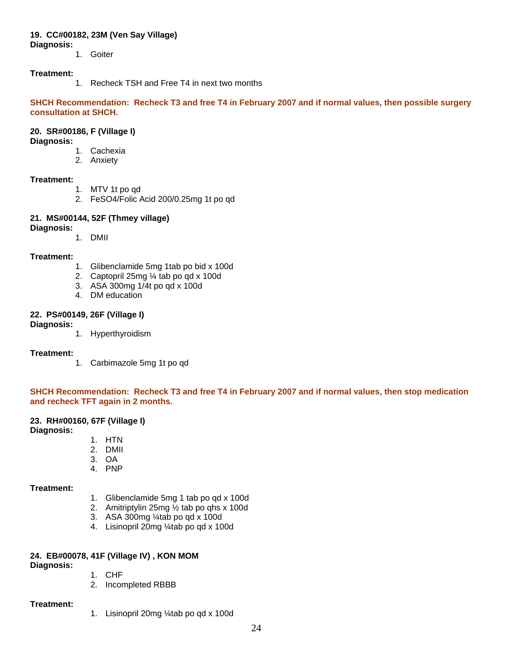#### **19. CC#00182, 23M (Ven Say Village)**

**Diagnosis:** 

1. Goiter

#### **Treatment:**

1. Recheck TSH and Free T4 in next two months

**SHCH Recommendation: Recheck T3 and free T4 in February 2007 and if normal values, then possible surgery consultation at SHCH.** 

#### **20. SR#00186, F (Village I)**

#### **Diagnosis:**

- 1. Cachexia
- 2. Anxiety

#### **Treatment:**

- 1. MTV 1t po qd
- 2. FeSO4/Folic Acid 200/0.25mg 1t po qd

# **21. MS#00144, 52F (Thmey village)**

**Diagnosis:** 

1. DMII

#### **Treatment:**

- 1. Glibenclamide 5mg 1tab po bid x 100d
- 2. Captopril 25mg ¼ tab po qd x 100d
- 3. ASA 300mg 1/4t po qd x 100d
- 4. DM education

#### **22. PS#00149, 26F (Village I)**

**Diagnosis:** 

1. Hyperthyroidism

#### **Treatment:**

1. Carbimazole 5mg 1t po qd

#### **SHCH Recommendation: Recheck T3 and free T4 in February 2007 and if normal values, then stop medication and recheck TFT again in 2 months.**

#### **23. RH#00160, 67F (Village I)**

#### **Diagnosis:**

- 1. HTN
- 2. DMII
- 3. OA
- 4. PNP

#### **Treatment:**

- 1. Glibenclamide 5mg 1 tab po qd x 100d
- 2. Amitriptylin 25mg ½ tab po qhs x 100d
- 3. ASA 300mg ¼tab po qd x 100d
- 4. Lisinopril 20mg ¼tab po qd x 100d

#### **24. EB#00078, 41F (Village IV) , KON MOM**

**Diagnosis:** 

- 1. CHF
- 2. Incompleted RBBB

#### **Treatment:**

1. Lisinopril 20mg ¼tab po qd x 100d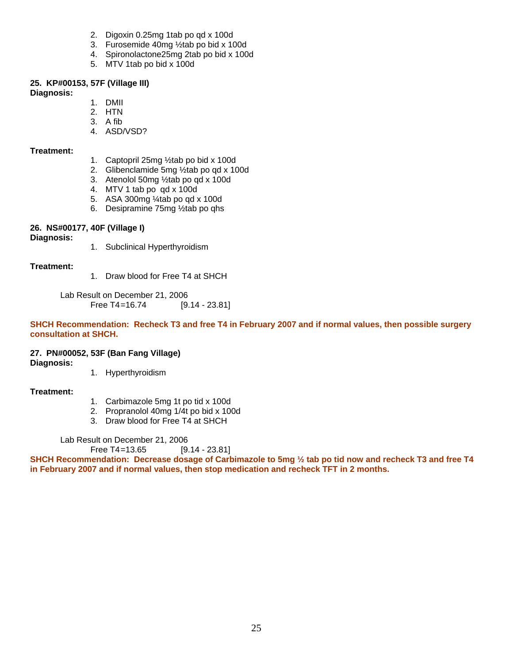- 2. Digoxin 0.25mg 1tab po qd x 100d
- 3. Furosemide 40mg ½tab po bid x 100d
- 4. Spironolactone25mg 2tab po bid x 100d
- 5. MTV 1tab po bid x 100d

#### **25. KP#00153, 57F (Village III)**

#### **Diagnosis:**

- 1. DMII
- 2. HTN
- 3. A fib
- 4. ASD/VSD?

#### **Treatment:**

- 1. Captopril 25mg ½tab po bid x 100d
- 2. Glibenclamide 5mg ½tab po qd x 100d
- 3. Atenolol 50mg ½tab po qd x 100d
- 4. MTV 1 tab po qd x 100d
- 5. ASA 300mg ¼tab po qd x 100d
- 6. Desipramine 75mg ½tab po qhs

#### **26. NS#00177, 40F (Village I)**

**Diagnosis:** 

1. Subclinical Hyperthyroidism

#### **Treatment:**

1. Draw blood for Free T4 at SHCH

 Lab Result on December 21, 2006 Free T4=16.74 [9.14 - 23.81]

**SHCH Recommendation: Recheck T3 and free T4 in February 2007 and if normal values, then possible surgery consultation at SHCH.** 

#### **27. PN#00052, 53F (Ban Fang Village)**

#### **Diagnosis:**

1. Hyperthyroidism

#### **Treatment:**

- 1. Carbimazole 5mg 1t po tid x 100d
- 2. Propranolol 40mg 1/4t po bid x 100d
- 3. Draw blood for Free T4 at SHCH

Lab Result on December 21, 2006

Free T4=13.65 [9.14 - 23.81]

**SHCH Recommendation: Decrease dosage of Carbimazole to 5mg ½ tab po tid now and recheck T3 and free T4 in February 2007 and if normal values, then stop medication and recheck TFT in 2 months.**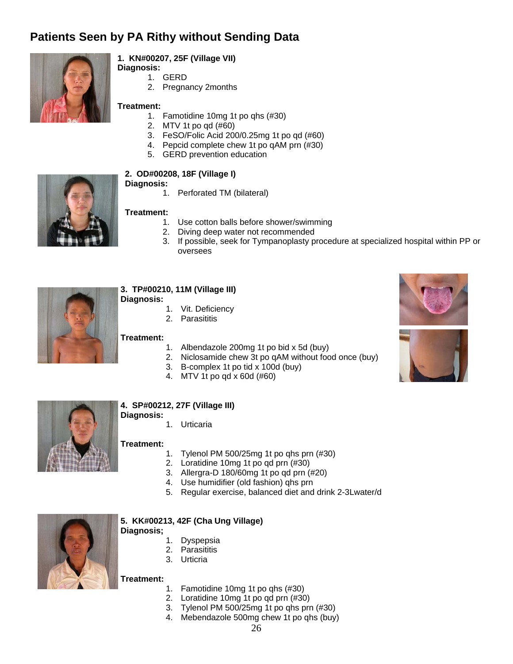# **Patients Seen by PA Rithy without Sending Data**



#### **1. KN#00207, 25F (Village VII)**

**Diagnosis:**  1. GERD

2. Pregnancy 2months

#### **Treatment:**

- 1. Famotidine 10mg 1t po qhs (#30)
- 2. MTV 1t po qd (#60)
- 3. FeSO/Folic Acid 200/0.25mg 1t po qd (#60)
- 4. Pepcid complete chew 1t po qAM prn (#30)
- 5. GERD prevention education



#### **2. OD#00208, 18F (Village I)**

- **Diagnosis:** 
	- 1. Perforated TM (bilateral)

#### **Treatment:**

- 1. Use cotton balls before shower/swimming
- 2. Diving deep water not recommended
- 3. If possible, seek for Tympanoplasty procedure at specialized hospital within PP or oversees



#### **3. TP#00210, 11M (Village III)**

- **Diagnosis:** 
	- 1. Vit. Deficiency
	- 2. Parasititis

#### **Treatment:**

- 1. Albendazole 200mg 1t po bid x 5d (buy)
- 2. Niclosamide chew 3t po qAM without food once (buy)
- 3. B-complex 1t po tid x 100d (buy)
- 4. MTV 1t po qd x 60d (#60)



#### **4. SP#00212, 27F (Village III) Diagnosis:**

1. Urticaria

#### **Treatment:**

- 1. Tylenol PM 500/25mg 1t po qhs prn (#30)
- 2. Loratidine 10mg 1t po qd prn (#30)
- 3. Allergra-D 180/60mg 1t po qd prn (#20)
- 4. Use humidifier (old fashion) qhs prn
- 5. Regular exercise, balanced diet and drink 2-3Lwater/d



#### **5. KK#00213, 42F (Cha Ung Village)**

- **Diagnosis;** 
	- 1. Dyspepsia
	- 2. Parasititis
	- 3. Urticria

#### **Treatment:**

- 1. Famotidine 10mg 1t po qhs (#30)
- 2. Loratidine 10mg 1t po qd prn (#30)
- 3. Tylenol PM 500/25mg 1t po qhs prn (#30)
- 4. Mebendazole 500mg chew 1t po qhs (buy)